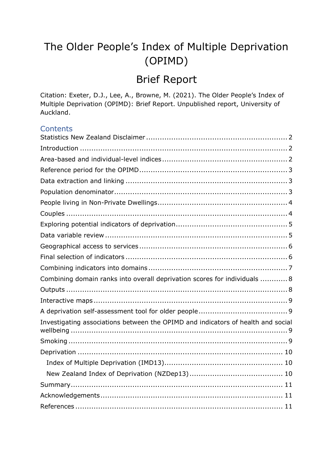# The Older People's Index of Multiple Deprivation (OPIMD)

# Brief Report

Citation: Exeter, D.J., Lee, A., Browne, M. (2021). The Older People's Index of Multiple Deprivation (OPIMD): Brief Report. Unpublished report, University of Auckland.

### **Contents**

| Combining domain ranks into overall deprivation scores for individuals  8        |
|----------------------------------------------------------------------------------|
|                                                                                  |
|                                                                                  |
|                                                                                  |
| Investigating associations between the OPIMD and indicators of health and social |
|                                                                                  |
|                                                                                  |
|                                                                                  |
|                                                                                  |
|                                                                                  |
|                                                                                  |
|                                                                                  |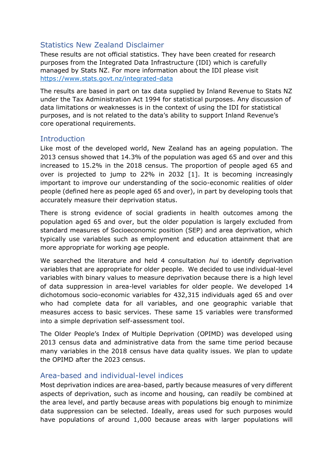# <span id="page-1-0"></span>Statistics New Zealand Disclaimer

These results are not official statistics. They have been created for research purposes from the Integrated Data Infrastructure (IDI) which is carefully managed by Stats NZ. For more information about the IDI please visit <https://www.stats.govt.nz/integrated-data>

The results are based in part on tax data supplied by Inland Revenue to Stats NZ under the Tax Administration Act 1994 for statistical purposes. Any discussion of data limitations or weaknesses is in the context of using the IDI for statistical purposes, and is not related to the data's ability to support Inland Revenue's core operational requirements.

### <span id="page-1-1"></span>**Introduction**

Like most of the developed world, New Zealand has an ageing population. The 2013 census showed that 14.3% of the population was aged 65 and over and this increased to 15.2% in the 2018 census. The proportion of people aged 65 and over is projected to jump to 22% in 2032 [1]. It is becoming increasingly important to improve our understanding of the socio-economic realities of older people (defined here as people aged 65 and over), in part by developing tools that accurately measure their deprivation status.

There is strong evidence of social gradients in health outcomes among the population aged 65 and over, but the older population is largely excluded from standard measures of Socioeconomic position (SEP) and area deprivation, which typically use variables such as employment and education attainment that are more appropriate for working age people.

We searched the literature and held 4 consultation *hui* to identify deprivation variables that are appropriate for older people. We decided to use individual-level variables with binary values to measure deprivation because there is a high level of data suppression in area-level variables for older people. We developed 14 dichotomous socio-economic variables for 432,315 individuals aged 65 and over who had complete data for all variables, and one geographic variable that measures access to basic services. These same 15 variables were transformed into a simple deprivation self-assessment tool.

The Older People's Index of Multiple Deprivation (OPIMD) was developed using 2013 census data and administrative data from the same time period because many variables in the 2018 census have data quality issues. We plan to update the OPIMD after the 2023 census.

# <span id="page-1-2"></span>Area-based and individual-level indices

Most deprivation indices are area-based, partly because measures of very different aspects of deprivation, such as income and housing, can readily be combined at the area level, and partly because areas with populations big enough to minimize data suppression can be selected. Ideally, areas used for such purposes would have populations of around 1,000 because areas with larger populations will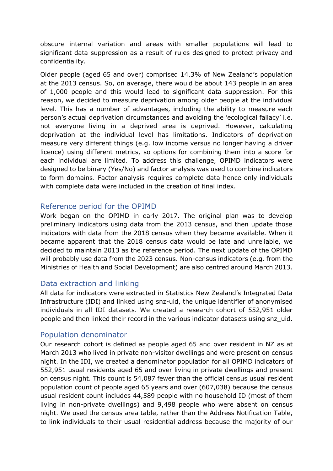obscure internal variation and areas with smaller populations will lead to significant data suppression as a result of rules designed to protect privacy and confidentiality.

Older people (aged 65 and over) comprised 14.3% of New Zealand's population at the 2013 census. So, on average, there would be about 143 people in an area of 1,000 people and this would lead to significant data suppression. For this reason, we decided to measure deprivation among older people at the individual level. This has a number of advantages, including the ability to measure each person's actual deprivation circumstances and avoiding the 'ecological fallacy' i.e. not everyone living in a deprived area is deprived. However, calculating deprivation at the individual level has limitations. Indicators of deprivation measure very different things (e.g. low income versus no longer having a driver licence) using different metrics, so options for combining them into a score for each individual are limited. To address this challenge, OPIMD indicators were designed to be binary (Yes/No) and factor analysis was used to combine indicators to form domains. Factor analysis requires complete data hence only individuals with complete data were included in the creation of final index.

### <span id="page-2-0"></span>Reference period for the OPIMD

Work began on the OPIMD in early 2017. The original plan was to develop preliminary indicators using data from the 2013 census, and then update those indicators with data from the 2018 census when they became available. When it became apparent that the 2018 census data would be late and unreliable, we decided to maintain 2013 as the reference period. The next update of the OPIMD will probably use data from the 2023 census. Non-census indicators (e.g. from the Ministries of Health and Social Development) are also centred around March 2013.

### <span id="page-2-1"></span>Data extraction and linking

All data for indicators were extracted in Statistics New Zealand's Integrated Data Infrastructure (IDI) and linked using snz-uid, the unique identifier of anonymised individuals in all IDI datasets. We created a research cohort of 552,951 older people and then linked their record in the various indicator datasets using snz\_uid.

### <span id="page-2-2"></span>Population denominator

Our research cohort is defined as people aged 65 and over resident in NZ as at March 2013 who lived in private non-visitor dwellings and were present on census night. In the IDI, we created a denominator population for all OPIMD indicators of 552,951 usual residents aged 65 and over living in private dwellings and present on census night. This count is 54,087 fewer than the official census usual resident population count of people aged 65 years and over (607,038) because the census usual resident count includes 44,589 people with no household ID (most of them living in non-private dwellings) and 9,498 people who were absent on census night. We used the census area table, rather than the Address Notification Table, to link individuals to their usual residential address because the majority of our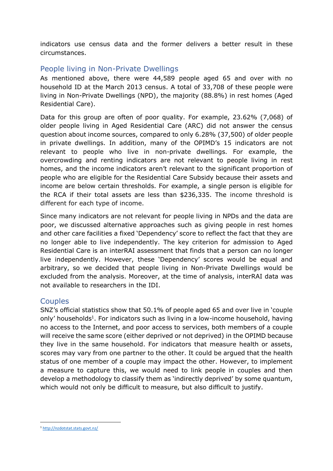indicators use census data and the former delivers a better result in these circumstances.

## <span id="page-3-0"></span>People living in Non-Private Dwellings

As mentioned above, there were 44,589 people aged 65 and over with no household ID at the March 2013 census. A total of 33,708 of these people were living in Non-Private Dwellings (NPD), the majority (88.8%) in rest homes (Aged Residential Care).

Data for this group are often of poor quality. For example, 23.62% (7,068) of older people living in Aged Residential Care (ARC) did not answer the census question about income sources, compared to only 6.28% (37,500) of older people in private dwellings. In addition, many of the OPIMD's 15 indicators are not relevant to people who live in non-private dwellings. For example, the overcrowding and renting indicators are not relevant to people living in rest homes, and the income indicators aren't relevant to the significant proportion of people who are eligible for the Residential Care Subsidy because their assets and income are below certain thresholds. For example, a single person is eligible for the RCA if their total assets are less than \$236,335. The income threshold is different for each type of income.

Since many indicators are not relevant for people living in NPDs and the data are poor, we discussed alternative approaches such as giving people in rest homes and other care facilities a fixed 'Dependency' score to reflect the fact that they are no longer able to live independently. The key criterion for admission to Aged Residential Care is an interRAI assessment that finds that a person can no longer live independently. However, these 'Dependency' scores would be equal and arbitrary, so we decided that people living in Non-Private Dwellings would be excluded from the analysis. Moreover, at the time of analysis, interRAI data was not available to researchers in the IDI.

### <span id="page-3-1"></span>**Couples**

SNZ's official statistics show that 50.1% of people aged 65 and over live in 'couple only' households<sup>1</sup>. For indicators such as living in a low-income household, having no access to the Internet, and poor access to services, both members of a couple will receive the same score (either deprived or not deprived) in the OPIMD because they live in the same household. For indicators that measure health or assets, scores may vary from one partner to the other. It could be argued that the health status of one member of a couple may impact the other. However, to implement a measure to capture this, we would need to link people in couples and then develop a methodology to classify them as 'indirectly deprived' by some quantum, which would not only be difficult to measure, but also difficult to justify.

<sup>1</sup> <http://nzdotstat.stats.govt.nz/>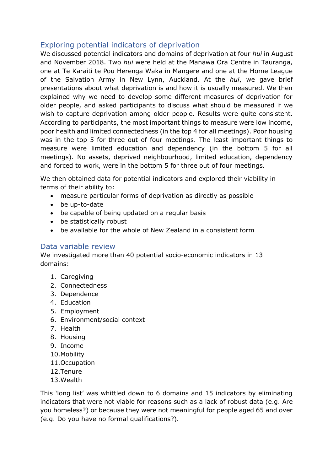## <span id="page-4-0"></span>Exploring potential indicators of deprivation

We discussed potential indicators and domains of deprivation at four *hui* in August and November 2018. Two *hui* were held at the Manawa Ora Centre in Tauranga, one at Te Karaiti te Pou Herenga Waka in Mangere and one at the Home League of the Salvation Army in New Lynn, Auckland. At the *hui*, we gave brief presentations about what deprivation is and how it is usually measured. We then explained why we need to develop some different measures of deprivation for older people, and asked participants to discuss what should be measured if we wish to capture deprivation among older people. Results were quite consistent. According to participants, the most important things to measure were low income, poor health and limited connectedness (in the top 4 for all meetings). Poor housing was in the top 5 for three out of four meetings. The least important things to measure were limited education and dependency (in the bottom 5 for all meetings). No assets, deprived neighbourhood, limited education, dependency and forced to work, were in the bottom 5 for three out of four meetings.

We then obtained data for potential indicators and explored their viability in terms of their ability to:

- measure particular forms of deprivation as directly as possible
- be up-to-date
- be capable of being updated on a regular basis
- be statistically robust
- be available for the whole of New Zealand in a consistent form

#### <span id="page-4-1"></span>Data variable review

We investigated more than 40 potential socio-economic indicators in 13 domains:

- 1. Caregiving
- 2. Connectedness
- 3. Dependence
- 4. Education
- 5. Employment
- 6. Environment/social context
- 7. Health
- 8. Housing
- 9. Income
- 10.Mobility
- 11.Occupation
- 12.Tenure
- 13.Wealth

This 'long list' was whittled down to 6 domains and 15 indicators by eliminating indicators that were not viable for reasons such as a lack of robust data (e.g. Are you homeless?) or because they were not meaningful for people aged 65 and over (e.g. Do you have no formal qualifications?).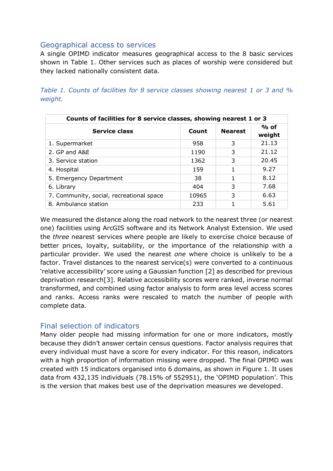### <span id="page-5-0"></span>Geographical access to services

A single OPIMD indicator measures geographical access to the 8 basic services shown in Table 1. Other services such as places of worship were considered but they lacked nationally consistent data.

*Table 1. Counts of facilities for 8 service classes showing nearest 1 or 3 and % weight.*

| Counts of facilities for 8 service classes, showing nearest 1 or 3 |       |                |                  |
|--------------------------------------------------------------------|-------|----------------|------------------|
| <b>Service class</b>                                               | Count | <b>Nearest</b> | $%$ of<br>weight |
| 1. Supermarket                                                     | 958   | 3              | 21.13            |
| 2. GP and A&E                                                      | 1190  | 3              | 21.12            |
| 3. Service station                                                 | 1362  | 3              | 20.45            |
| 4. Hospital                                                        | 159   |                | 9.27             |
| 5. Emergency Department                                            | 38    | 1              | 8.12             |
| 6. Library                                                         | 404   | 3              | 7.68             |
| 7. Community, social, recreational space                           | 10965 | 3              | 6.63             |
| 8. Ambulance station                                               | 233   |                | 5.61             |

We measured the distance along the road network to the nearest three (or nearest one) facilities using ArcGIS software and its Network Analyst Extension. We used the *three* nearest services where people are likely to exercise choice because of better prices, loyalty, suitability, or the importance of the relationship with a particular provider. We used the nearest *one* where choice is unlikely to be a factor. Travel distances to the nearest service(s) were converted to a continuous 'relative accessibility' score using a Gaussian function [2] as described for previous deprivation research[3]. Relative accessibility scores were ranked, inverse normal transformed, and combined using factor analysis to form area level access scores and ranks. Access ranks were rescaled to match the number of people with complete data.

### <span id="page-5-1"></span>Final selection of indicators

Many older people had missing information for one or more indicators, mostly because they didn't answer certain census questions. Factor analysis requires that every individual must have a score for every indicator. For this reason, indicators with a high proportion of information missing were dropped. The final OPIMD was created with 15 indicators organised into 6 domains, as shown in Figure 1. It uses data from 432,135 individuals (78.15% of 552951), the 'OPIMD population'. This is the version that makes best use of the deprivation measures we developed.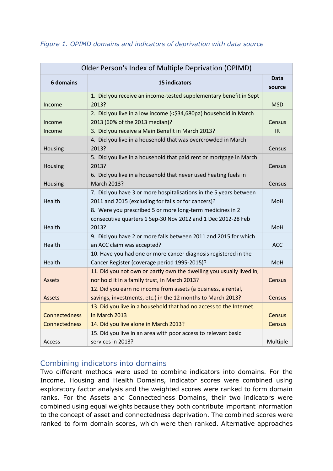| Older Person's Index of Multiple Deprivation (OPIMD) |                                                                                                                                    |                |  |
|------------------------------------------------------|------------------------------------------------------------------------------------------------------------------------------------|----------------|--|
| <b>6 domains</b>                                     | 15 indicators                                                                                                                      | Data<br>source |  |
| Income                                               | 1. Did you receive an income-tested supplementary benefit in Sept<br>2013?                                                         | <b>MSD</b>     |  |
| Income                                               | 2. Did you live in a low income (<\$34,680pa) household in March<br>2013 (60% of the 2013 median)?                                 | Census         |  |
| Income                                               | 3. Did you receive a Main Benefit in March 2013?                                                                                   | IR.            |  |
| Housing                                              | 4. Did you live in a household that was overcrowded in March<br>2013?                                                              | Census         |  |
| Housing                                              | 5. Did you live in a household that paid rent or mortgage in March<br>2013?                                                        | Census         |  |
| Housing                                              | 6. Did you live in a household that never used heating fuels in<br>March 2013?                                                     | Census         |  |
| Health                                               | 7. Did you have 3 or more hospitalisations in the 5 years between<br>2011 and 2015 (excluding for falls or for cancers)?           | <b>MoH</b>     |  |
| Health                                               | 8. Were you prescribed 5 or more long-term medicines in 2<br>consecutive quarters 1 Sep-30 Nov 2012 and 1 Dec 2012-28 Feb<br>2013? | <b>MoH</b>     |  |
| Health                                               | 9. Did you have 2 or more falls between 2011 and 2015 for which<br>an ACC claim was accepted?                                      | <b>ACC</b>     |  |
| Health                                               | 10. Have you had one or more cancer diagnosis registered in the<br>Cancer Register (coverage period 1995-2015)?                    | <b>MoH</b>     |  |
| <b>Assets</b>                                        | 11. Did you not own or partly own the dwelling you usually lived in,<br>nor hold it in a family trust, in March 2013?              | Census         |  |
| <b>Assets</b>                                        | 12. Did you earn no income from assets (a business, a rental,<br>savings, investments, etc.) in the 12 months to March 2013?       | Census         |  |
| <b>Connectedness</b>                                 | 13. Did you live in a household that had no access to the Internet<br>in March 2013                                                | Census         |  |
| <b>Connectedness</b>                                 | 14. Did you live alone in March 2013?                                                                                              | Census         |  |
| Access                                               | 15. Did you live in an area with poor access to relevant basic<br>services in 2013?                                                | Multiple       |  |

### *Figure 1. OPIMD domains and indicators of deprivation with data source*

# <span id="page-6-0"></span>Combining indicators into domains

Two different methods were used to combine indicators into domains. For the Income, Housing and Health Domains, indicator scores were combined using exploratory factor analysis and the weighted scores were ranked to form domain ranks. For the Assets and Connectedness Domains, their two indicators were combined using equal weights because they both contribute important information to the concept of asset and connectedness deprivation. The combined scores were ranked to form domain scores, which were then ranked. Alternative approaches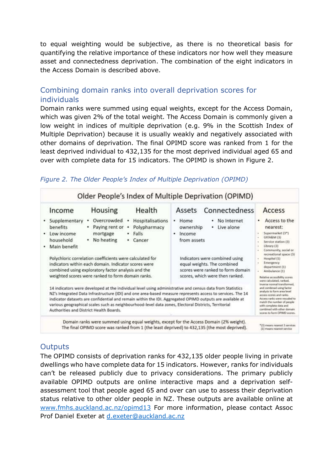to equal weighting would be subjective, as there is no theoretical basis for quantifying the relative importance of these indicators nor how well they measure asset and connectedness deprivation. The combination of the eight indicators in the Access Domain is described above.

# <span id="page-7-0"></span>Combining domain ranks into overall deprivation scores for individuals

Domain ranks were summed using equal weights, except for the Access Domain, which was given 2% of the total weight. The Access Domain is commonly given a low weight in indices of multiple deprivation (e.g. 9% in the Scottish Index of Multiple Deprivation) because it is usually weakly and negatively associated with other domains of deprivation. The final OPIMD score was ranked from 1 for the least deprived individual to 432,135 for the most deprived individual aged 65 and over with complete data for 15 indicators. The OPIMD is shown in Figure 2.

| Income                                                                         | Housing                                                                                                                                                                                                                                                                                                                                        | Health                                                             | Assets Connectedness                                                                                                                                                                                                                                                                                                                                                                                                                                                                                                                                                                                                                                                     | Access                                                                                                                                                                                                                                                                                                                                                                                                                                                                                                                                                         |
|--------------------------------------------------------------------------------|------------------------------------------------------------------------------------------------------------------------------------------------------------------------------------------------------------------------------------------------------------------------------------------------------------------------------------------------|--------------------------------------------------------------------|--------------------------------------------------------------------------------------------------------------------------------------------------------------------------------------------------------------------------------------------------------------------------------------------------------------------------------------------------------------------------------------------------------------------------------------------------------------------------------------------------------------------------------------------------------------------------------------------------------------------------------------------------------------------------|----------------------------------------------------------------------------------------------------------------------------------------------------------------------------------------------------------------------------------------------------------------------------------------------------------------------------------------------------------------------------------------------------------------------------------------------------------------------------------------------------------------------------------------------------------------|
| Supplementary<br>benefits<br>Low income<br>٠<br>household<br>Main benefit<br>٠ | Overcrowded<br>Paying rent or<br>mortgage<br>No heating<br>$\bullet$<br>Polychloric correlation coefficients were calculated for<br>indicators within each domain. Indicator scores were<br>combined using exploratory factor analysis and the<br>weighted scores were ranked to form domain ranks.<br>Authorities and District Health Boards. | Hospitalisations<br>Polypharmacy<br>٠<br>Falls<br>٠<br>Cancer<br>۰ | · Home<br>No Internet<br>ownership<br>Live alone<br>٠<br>· Income<br>from assets<br>Indicators were combined using<br>equal weights. The combined<br>scores were ranked to form domain<br>scores, which were then ranked.<br>14 indicators were developed at the individual level using administrative and census data from Statistics<br>NZ's integrated Data infrastructure (IDI) and one area-based measure represents access to services. The 14<br>indicator datasets are confidential and remain within the IDI. Aggregated OPIMD outputs are available at<br>various geographical scales such as neighbourhood-level data zones, Electoral Districts, Territorial | Access to the<br>nearest:<br>Supermarket (3*)<br>GP/A&M (3)<br>Service station (3)<br>Library [3]<br>Community, social or<br>recreational space (3)<br>Hospital (1)<br>Emergency<br>department (1)<br>Ambulance (1)<br>Relative accessibility scores<br>were calculated, ranked.<br>inverse normal transformed.<br>and combined using factor<br>analysis to form area lavel<br>access scores and ranks:<br>Access ranks were rescaled to<br>match the number of people<br>with complete data and<br>combined with other domain<br>scores to form OPIMD scores. |

### *Figure 2. The Older People's Index of Multiple Deprivation (OPIMD)*

# <span id="page-7-1"></span>**Outputs**

The OPIMD consists of deprivation ranks for 432,135 older people living in private dwellings who have complete data for 15 indicators. However, ranks for individuals can't be released publicly due to privacy considerations. The primary publicly available OPIMD outputs are online interactive maps and a deprivation selfassessment tool that people aged 65 and over can use to assess their deprivation status relative to other older people in NZ. These outputs are available online at [www.fmhs.auckland.ac.nz/opimd13](http://www.fmhs.auckland.ac.nz/opimd13) For more information, please contact Assoc Prof Daniel Exeter at [d.exeter@auckland.ac.nz](mailto:d.exeter@auckland.ac.nz)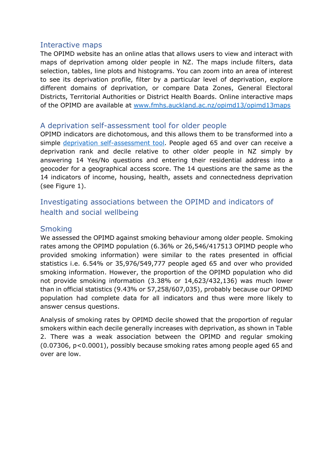### <span id="page-8-0"></span>Interactive maps

The OPIMD website has an online atlas that allows users to view and interact with maps of deprivation among older people in NZ. The maps include filters, data selection, tables, line plots and histograms. You can zoom into an area of interest to see its deprivation profile, filter by a particular level of deprivation, explore different domains of deprivation, or compare Data Zones, General Electoral Districts, Territorial Authorities or District Health Boards. Online interactive maps of the OPIMD are available at [www.fmhs.auckland.ac.nz/opimd13/opimd13maps](http://www.fmhs.auckland.ac.nz/opimd13/opimd13maps)

## <span id="page-8-1"></span>A deprivation self-assessment tool for older people

OPIMD indicators are dichotomous, and this allows them to be transformed into a simple [deprivation self-assessment tool.](https://uoa-eresearch.github.io/OPIMD) People aged 65 and over can receive a deprivation rank and decile relative to other older people in NZ simply by answering 14 Yes/No questions and entering their residential address into a geocoder for a geographical access score. The 14 questions are the same as the 14 indicators of income, housing, health, assets and connectedness deprivation (see Figure 1).

# <span id="page-8-2"></span>Investigating associations between the OPIMD and indicators of health and social wellbeing

## <span id="page-8-3"></span>**Smoking**

We assessed the OPIMD against smoking behaviour among older people. Smoking rates among the OPIMD population (6.36% or 26,546/417513 OPIMD people who provided smoking information) were similar to the rates presented in official statistics i.e. 6.54% or 35,976/549,777 people aged 65 and over who provided smoking information. However, the proportion of the OPIMD population who did not provide smoking information (3.38% or 14,623/432,136) was much lower than in official statistics (9.43% or 57,258/607,035), probably because our OPIMD population had complete data for all indicators and thus were more likely to answer census questions.

Analysis of smoking rates by OPIMD decile showed that the proportion of regular smokers within each decile generally increases with deprivation, as shown in Table 2. There was a weak association between the OPIMD and regular smoking (0.07306, p<0.0001), possibly because smoking rates among people aged 65 and over are low.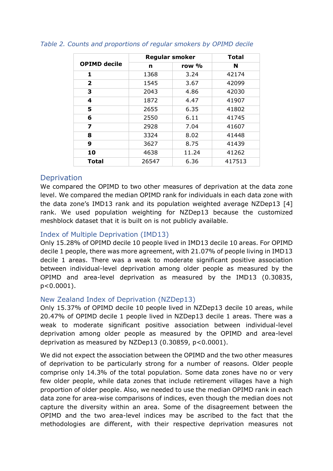|                     | <b>Regular smoker</b> |       | <b>Total</b> |  |
|---------------------|-----------------------|-------|--------------|--|
| <b>OPIMD decile</b> | n                     | row % | N            |  |
| 1                   | 1368                  | 3.24  | 42174        |  |
| $\mathbf{2}$        | 1545                  | 3.67  | 42099        |  |
| 3                   | 2043                  | 4.86  | 42030        |  |
| 4                   | 1872                  | 4.47  | 41907        |  |
| 5                   | 2655                  | 6.35  | 41802        |  |
| 6                   | 2550                  | 6.11  | 41745        |  |
| 7                   | 2928                  | 7.04  | 41607        |  |
| 8                   | 3324                  | 8.02  | 41448        |  |
| 9                   | 3627                  | 8.75  | 41439        |  |
| 10                  | 4638                  | 11.24 | 41262        |  |
| Total               | 26547                 | 6.36  | 417513       |  |

#### *Table 2. Counts and proportions of regular smokers by OPIMD decile*

### <span id="page-9-0"></span>**Deprivation**

We compared the OPIMD to two other measures of deprivation at the data zone level. We compared the median OPIMD rank for individuals in each data zone with the data zone's IMD13 rank and its population weighted average NZDep13 [4] rank. We used population weighting for NZDep13 because the customized meshblock dataset that it is built on is not publicly available.

### <span id="page-9-1"></span>Index of Multiple Deprivation (IMD13)

Only 15.28% of OPIMD decile 10 people lived in IMD13 decile 10 areas. For OPIMD decile 1 people, there was more agreement, with 21.07% of people living in IMD13 decile 1 areas. There was a weak to moderate significant positive association between individual-level deprivation among older people as measured by the OPIMD and area-level deprivation as measured by the IMD13 (0.30835, p<0.0001).

#### <span id="page-9-2"></span>New Zealand Index of Deprivation (NZDep13)

Only 15.37% of OPIMD decile 10 people lived in NZDep13 decile 10 areas, while 20.47% of OPIMD decile 1 people lived in NZDep13 decile 1 areas. There was a weak to moderate significant positive association between individual-level deprivation among older people as measured by the OPIMD and area-level deprivation as measured by NZDep13 (0.30859, p<0.0001).

We did not expect the association between the OPIMD and the two other measures of deprivation to be particularly strong for a number of reasons. Older people comprise only 14.3% of the total population. Some data zones have no or very few older people, while data zones that include retirement villages have a high proportion of older people. Also, we needed to use the median OPIMD rank in each data zone for area-wise comparisons of indices, even though the median does not capture the diversity within an area. Some of the disagreement between the OPIMD and the two area-level indices may be ascribed to the fact that the methodologies are different, with their respective deprivation measures not